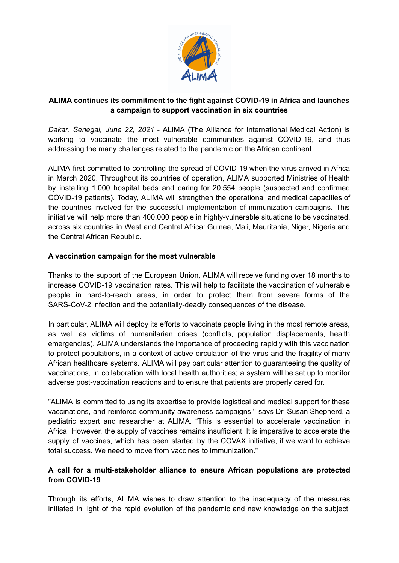

# **ALIMA continues its commitment to the fight against COVID-19 in Africa and launches a campaign to support vaccination in six countries**

*Dakar, Senegal, June 22, 2021* - ALIMA (The Alliance for International Medical Action) is working to vaccinate the most vulnerable communities against COVID-19, and thus addressing the many challenges related to the pandemic on the African continent.

ALIMA first committed to controlling the spread of COVID-19 when the virus arrived in Africa in March 2020. Throughout its countries of operation, ALIMA supported Ministries of Health by installing 1,000 hospital beds and caring for 20,554 people (suspected and confirmed COVID-19 patients). Today, ALIMA will strengthen the operational and medical capacities of the countries involved for the successful implementation of immunization campaigns. This initiative will help more than 400,000 people in highly-vulnerable situations to be vaccinated, across six countries in West and Central Africa: Guinea, Mali, Mauritania, Niger, Nigeria and the Central African Republic.

### **A vaccination campaign for the most vulnerable**

Thanks to the support of the European Union, ALIMA will receive funding over 18 months to increase COVID-19 vaccination rates. This will help to facilitate the vaccination of vulnerable people in hard-to-reach areas, in order to protect them from severe forms of the SARS-CoV-2 infection and the potentially-deadly consequences of the disease.

In particular, ALIMA will deploy its efforts to vaccinate people living in the most remote areas, as well as victims of humanitarian crises (conflicts, population displacements, health emergencies). ALIMA understands the importance of proceeding rapidly with this vaccination to protect populations, in a context of active circulation of the virus and the fragility of many African healthcare systems. ALIMA will pay particular attention to guaranteeing the quality of vaccinations, in collaboration with local health authorities; a system will be set up to monitor adverse post-vaccination reactions and to ensure that patients are properly cared for.

"ALIMA is committed to using its expertise to provide logistical and medical support for these vaccinations, and reinforce community awareness campaigns,'' says Dr. Susan Shepherd, a pediatric expert and researcher at ALIMA. "This is essential to accelerate vaccination in Africa. However, the supply of vaccines remains insufficient. It is imperative to accelerate the supply of vaccines, which has been started by the COVAX initiative, if we want to achieve total success. We need to move from vaccines to immunization."

### **A call for a multi-stakeholder alliance to ensure African populations are protected from COVID-19**

Through its efforts, ALIMA wishes to draw attention to the inadequacy of the measures initiated in light of the rapid evolution of the pandemic and new knowledge on the subject,